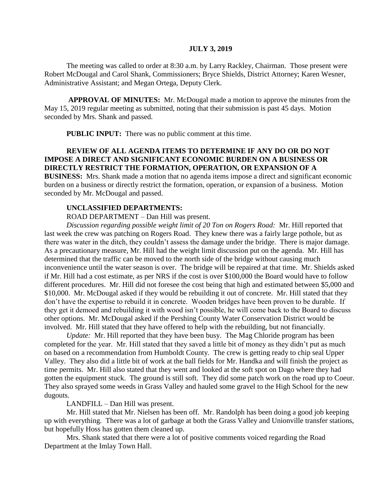#### **JULY 3, 2019**

The meeting was called to order at 8:30 a.m. by Larry Rackley, Chairman. Those present were Robert McDougal and Carol Shank, Commissioners; Bryce Shields, District Attorney; Karen Wesner, Administrative Assistant; and Megan Ortega, Deputy Clerk.

**APPROVAL OF MINUTES:** Mr. McDougal made a motion to approve the minutes from the May 15, 2019 regular meeting as submitted, noting that their submission is past 45 days. Motion seconded by Mrs. Shank and passed.

 **PUBLIC INPUT:** There was no public comment at this time.

# **REVIEW OF ALL AGENDA ITEMS TO DETERMINE IF ANY DO OR DO NOT IMPOSE A DIRECT AND SIGNIFICANT ECONOMIC BURDEN ON A BUSINESS OR DIRECTLY RESTRICT THE FORMATION, OPERATION, OR EXPANSION OF A**

**BUSINESS:** Mrs. Shank made a motion that no agenda items impose a direct and significant economic burden on a business or directly restrict the formation, operation, or expansion of a business. Motion seconded by Mr. McDougal and passed.

#### **UNCLASSIFIED DEPARTMENTS:**

ROAD DEPARTMENT – Dan Hill was present.

*Discussion regarding possible weight limit of 20 Ton on Rogers Road:* Mr. Hill reported that last week the crew was patching on Rogers Road. They knew there was a fairly large pothole, but as there was water in the ditch, they couldn't assess the damage under the bridge. There is major damage. As a precautionary measure, Mr. Hill had the weight limit discussion put on the agenda. Mr. Hill has determined that the traffic can be moved to the north side of the bridge without causing much inconvenience until the water season is over. The bridge will be repaired at that time. Mr. Shields asked if Mr. Hill had a cost estimate, as per NRS if the cost is over \$100,000 the Board would have to follow different procedures. Mr. Hill did not foresee the cost being that high and estimated between \$5,000 and \$10,000. Mr. McDougal asked if they would be rebuilding it out of concrete. Mr. Hill stated that they don't have the expertise to rebuild it in concrete. Wooden bridges have been proven to be durable. If they get it demoed and rebuilding it with wood isn't possible, he will come back to the Board to discuss other options. Mr. McDougal asked if the Pershing County Water Conservation District would be involved. Mr. Hill stated that they have offered to help with the rebuilding, but not financially.

*Update:* Mr. Hill reported that they have been busy. The Mag Chloride program has been completed for the year. Mr. Hill stated that they saved a little bit of money as they didn't put as much on based on a recommendation from Humboldt County. The crew is getting ready to chip seal Upper Valley. They also did a little bit of work at the ball fields for Mr. Handka and will finish the project as time permits. Mr. Hill also stated that they went and looked at the soft spot on Dago where they had gotten the equipment stuck. The ground is still soft. They did some patch work on the road up to Coeur. They also sprayed some weeds in Grass Valley and hauled some gravel to the High School for the new dugouts.

LANDFILL – Dan Hill was present.

Mr. Hill stated that Mr. Nielsen has been off. Mr. Randolph has been doing a good job keeping up with everything. There was a lot of garbage at both the Grass Valley and Unionville transfer stations, but hopefully Hoss has gotten them cleaned up.

Mrs. Shank stated that there were a lot of positive comments voiced regarding the Road Department at the Imlay Town Hall.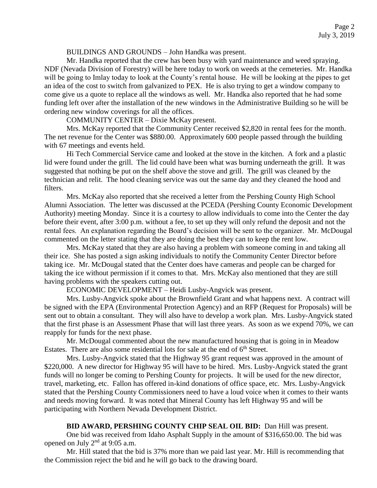BUILDINGS AND GROUNDS – John Handka was present.

Mr. Handka reported that the crew has been busy with yard maintenance and weed spraying. NDF (Nevada Division of Forestry) will be here today to work on weeds at the cemeteries. Mr. Handka will be going to Imlay today to look at the County's rental house. He will be looking at the pipes to get an idea of the cost to switch from galvanized to PEX. He is also trying to get a window company to come give us a quote to replace all the windows as well. Mr. Handka also reported that he had some funding left over after the installation of the new windows in the Administrative Building so he will be ordering new window coverings for all the offices.

COMMUNITY CENTER – Dixie McKay present.

Mrs. McKay reported that the Community Center received \$2,820 in rental fees for the month. The net revenue for the Center was \$880.00. Approximately 600 people passed through the building with 67 meetings and events held.

Hi Tech Commercial Service came and looked at the stove in the kitchen. A fork and a plastic lid were found under the grill. The lid could have been what was burning underneath the grill. It was suggested that nothing be put on the shelf above the stove and grill. The grill was cleaned by the technician and relit. The hood cleaning service was out the same day and they cleaned the hood and filters.

Mrs. McKay also reported that she received a letter from the Pershing County High School Alumni Association. The letter was discussed at the PCEDA (Pershing County Economic Development Authority) meeting Monday. Since it is a courtesy to allow individuals to come into the Center the day before their event, after 3:00 p.m. without a fee, to set up they will only refund the deposit and not the rental fees. An explanation regarding the Board's decision will be sent to the organizer. Mr. McDougal commented on the letter stating that they are doing the best they can to keep the rent low.

Mrs. McKay stated that they are also having a problem with someone coming in and taking all their ice. She has posted a sign asking individuals to notify the Community Center Director before taking ice. Mr. McDougal stated that the Center does have cameras and people can be charged for taking the ice without permission if it comes to that. Mrs. McKay also mentioned that they are still having problems with the speakers cutting out.

ECONOMIC DEVELOPMENT – Heidi Lusby-Angvick was present.

Mrs. Lusby-Angvick spoke about the Brownfield Grant and what happens next. A contract will be signed with the EPA (Environmental Protection Agency) and an RFP (Request for Proposals) will be sent out to obtain a consultant. They will also have to develop a work plan. Mrs. Lusby-Angvick stated that the first phase is an Assessment Phase that will last three years. As soon as we expend 70%, we can reapply for funds for the next phase.

Mr. McDougal commented about the new manufactured housing that is going in in Meadow Estates. There are also some residential lots for sale at the end of  $6<sup>th</sup>$  Street.

Mrs. Lusby-Angvick stated that the Highway 95 grant request was approved in the amount of \$220,000. A new director for Highway 95 will have to be hired. Mrs. Lusby-Angvick stated the grant funds will no longer be coming to Pershing County for projects. It will be used for the new director, travel, marketing, etc. Fallon has offered in-kind donations of office space, etc. Mrs. Lusby-Angvick stated that the Pershing County Commissioners need to have a loud voice when it comes to their wants and needs moving forward. It was noted that Mineral County has left Highway 95 and will be participating with Northern Nevada Development District.

### **BID AWARD, PERSHING COUNTY CHIP SEAL OIL BID:** Dan Hill was present.

One bid was received from Idaho Asphalt Supply in the amount of \$316,650.00. The bid was opened on July 2nd at 9:05 a.m.

Mr. Hill stated that the bid is 37% more than we paid last year. Mr. Hill is recommending that the Commission reject the bid and he will go back to the drawing board.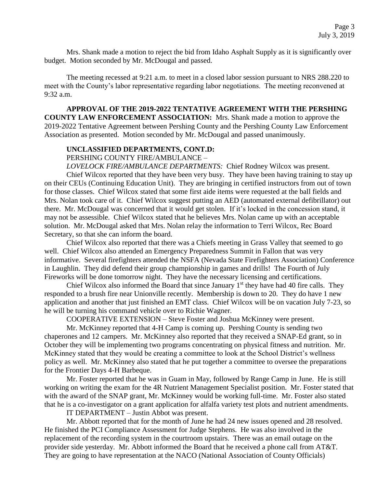Mrs. Shank made a motion to reject the bid from Idaho Asphalt Supply as it is significantly over budget. Motion seconded by Mr. McDougal and passed.

The meeting recessed at 9:21 a.m. to meet in a closed labor session pursuant to NRS 288.220 to meet with the County's labor representative regarding labor negotiations. The meeting reconvened at 9:32 a.m.

**APPROVAL OF THE 2019-2022 TENTATIVE AGREEMENT WITH THE PERSHING COUNTY LAW ENFORCEMENT ASSOCIATION:** Mrs. Shank made a motion to approve the 2019-2022 Tentative Agreement between Pershing County and the Pershing County Law Enforcement Association as presented. Motion seconded by Mr. McDougal and passed unanimously.

#### **UNCLASSIFIED DEPARTMENTS, CONT.D:**

PERSHING COUNTY FIRE/AMBULANCE –

*LOVELOCK FIRE/AMBULANCE DEPARTMENTS:* Chief Rodney Wilcox was present. Chief Wilcox reported that they have been very busy. They have been having training to stay up on their CEUs (Continuing Education Unit). They are bringing in certified instructors from out of town for those classes. Chief Wilcox stated that some first aide items were requested at the ball fields and Mrs. Nolan took care of it. Chief Wilcox suggest putting an AED (automated external defibrillator) out there. Mr. McDougal was concerned that it would get stolen. If it's locked in the concession stand, it may not be assessible. Chief Wilcox stated that he believes Mrs. Nolan came up with an acceptable solution. Mr. McDougal asked that Mrs. Nolan relay the information to Terri Wilcox, Rec Board Secretary, so that she can inform the board.

Chief Wilcox also reported that there was a Chiefs meeting in Grass Valley that seemed to go well. Chief Wilcox also attended an Emergency Preparedness Summit in Fallon that was very informative. Several firefighters attended the NSFA (Nevada State Firefighters Association) Conference in Laughlin. They did defend their group championship in games and drills! The Fourth of July Fireworks will be done tomorrow night. They have the necessary licensing and certifications.

Chief Wilcox also informed the Board that since January  $1<sup>st</sup>$  they have had 40 fire calls. They responded to a brush fire near Unionville recently. Membership is down to 20. They do have 1 new application and another that just finished an EMT class. Chief Wilcox will be on vacation July 7-23, so he will be turning his command vehicle over to Richie Wagner.

COOPERATIVE EXTENSION – Steve Foster and Joshua McKinney were present.

Mr. McKinney reported that 4-H Camp is coming up. Pershing County is sending two chaperones and 12 campers. Mr. McKinney also reported that they received a SNAP-Ed grant, so in October they will be implementing two programs concentrating on physical fitness and nutrition. Mr. McKinney stated that they would be creating a committee to look at the School District's wellness policy as well. Mr. McKinney also stated that he put together a committee to oversee the preparations for the Frontier Days 4-H Barbeque.

Mr. Foster reported that he was in Guam in May, followed by Range Camp in June. He is still working on writing the exam for the 4R Nutrient Management Specialist position. Mr. Foster stated that with the award of the SNAP grant, Mr. McKinney would be working full-time. Mr. Foster also stated that he is a co-investigator on a grant application for alfalfa variety test plots and nutrient amendments.

IT DEPARTMENT – Justin Abbot was present.

Mr. Abbott reported that for the month of June he had 24 new issues opened and 28 resolved. He finished the PCI Compliance Assessment for Judge Stephens. He was also involved in the replacement of the recording system in the courtroom upstairs. There was an email outage on the provider side yesterday. Mr. Abbott informed the Board that he received a phone call from AT&T. They are going to have representation at the NACO (National Association of County Officials)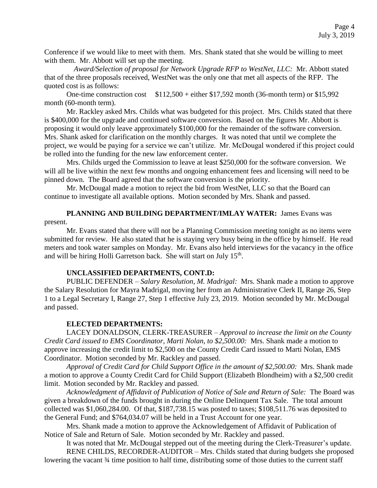Conference if we would like to meet with them. Mrs. Shank stated that she would be willing to meet with them. Mr. Abbott will set up the meeting.

 *Award/Selection of proposal for Network Upgrade RFP to WestNet, LLC:* Mr. Abbott stated that of the three proposals received, WestNet was the only one that met all aspects of the RFP. The quoted cost is as follows:

One-time construction cost  $$112,500 +$  either \$17,592 month (36-month term) or \$15,992 month (60-month term).

Mr. Rackley asked Mrs. Childs what was budgeted for this project. Mrs. Childs stated that there is \$400,000 for the upgrade and continued software conversion. Based on the figures Mr. Abbott is proposing it would only leave approximately \$100,000 for the remainder of the software conversion. Mrs. Shank asked for clarification on the monthly charges. It was noted that until we complete the project, we would be paying for a service we can't utilize. Mr. McDougal wondered if this project could be rolled into the funding for the new law enforcement center.

Mrs. Childs urged the Commission to leave at least \$250,000 for the software conversion. We will all be live within the next few months and ongoing enhancement fees and licensing will need to be pinned down. The Board agreed that the software conversion is the priority.

Mr. McDougal made a motion to reject the bid from WestNet, LLC so that the Board can continue to investigate all available options. Motion seconded by Mrs. Shank and passed.

## **PLANNING AND BUILDING DEPARTMENT/IMLAY WATER:** James Evans was present.

Mr. Evans stated that there will not be a Planning Commission meeting tonight as no items were submitted for review. He also stated that he is staying very busy being in the office by himself. He read meters and took water samples on Monday. Mr. Evans also held interviews for the vacancy in the office and will be hiring Holli Garretson back. She will start on July  $15<sup>th</sup>$ .

## **UNCLASSIFIED DEPARTMENTS, CONT.D:**

PUBLIC DEFENDER – *Salary Resolution, M. Madrigal:* Mrs. Shank made a motion to approve the Salary Resolution for Mayra Madrigal, moving her from an Administrative Clerk II, Range 26, Step 1 to a Legal Secretary I, Range 27, Step 1 effective July 23, 2019. Motion seconded by Mr. McDougal and passed.

## **ELECTED DEPARTMENTS:**

LACEY DONALDSON, CLERK-TREASURER – *Approval to increase the limit on the County Credit Card issued to EMS Coordinator, Marti Nolan, to \$2,500.00:* Mrs. Shank made a motion to approve increasing the credit limit to \$2,500 on the County Credit Card issued to Marti Nolan, EMS Coordinator. Motion seconded by Mr. Rackley and passed.

*Approval of Credit Card for Child Support Office in the amount of \$2,500.00:* Mrs. Shank made a motion to approve a County Credit Card for Child Support (Elizabeth Blondheim) with a \$2,500 credit limit. Motion seconded by Mr. Rackley and passed.

*Acknowledgment of Affidavit of Publication of Notice of Sale and Return of Sale:* The Board was given a breakdown of the funds brought in during the Online Delinquent Tax Sale. The total amount collected was \$1,060,284.00. Of that, \$187,738.15 was posted to taxes; \$108,511.76 was deposited to the General Fund; and \$764,034.07 will be held in a Trust Account for one year.

Mrs. Shank made a motion to approve the Acknowledgement of Affidavit of Publication of Notice of Sale and Return of Sale. Motion seconded by Mr. Rackley and passed.

It was noted that Mr. McDougal stepped out of the meeting during the Clerk-Treasurer's update. RENE CHILDS, RECORDER-AUDITOR – Mrs. Childs stated that during budgets she proposed lowering the vacant ¾ time position to half time, distributing some of those duties to the current staff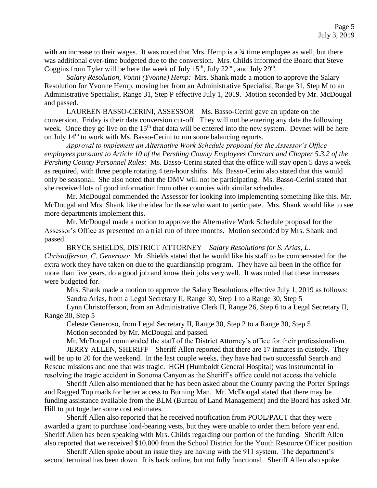with an increase to their wages. It was noted that Mrs. Hemp is a  $\frac{3}{4}$  time employee as well, but there was additional over-time budgeted due to the conversion. Mrs. Childs informed the Board that Steve Coggins from Tyler will be here the week of July  $15<sup>th</sup>$ , July  $22<sup>nd</sup>$ , and July  $29<sup>th</sup>$ .

*Salary Resolution, Vonni (Yvonne) Hemp:* Mrs. Shank made a motion to approve the Salary Resolution for Yvonne Hemp, moving her from an Administrative Specialist, Range 31, Step M to an Administrative Specialist, Range 31, Step P effective July 1, 2019. Motion seconded by Mr. McDougal and passed.

LAUREEN BASSO-CERINI, ASSESSOR – Ms. Basso-Cerini gave an update on the conversion. Friday is their data conversion cut-off. They will not be entering any data the following week. Once they go live on the 15<sup>th</sup> that data will be entered into the new system. Devnet will be here on July 14<sup>th</sup> to work with Ms. Basso-Cerini to run some balancing reports.

*Approval to implement an Alternative Work Schedule proposal for the Assessor's Office employees pursuant to Article 10 of the Pershing County Employees Contract and Chapter 5.3.2 of the Pershing County Personnel Rules:* Ms. Basso-Cerini stated that the office will stay open 5 days a week as required, with three people rotating 4 ten-hour shifts. Ms. Basso-Cerini also stated that this would only be seasonal. She also noted that the DMV will not be participating. Ms. Basso-Cerini stated that she received lots of good information from other counties with similar schedules.

Mr. McDougal commended the Assessor for looking into implementing something like this. Mr. McDougal and Mrs. Shank like the idea for those who want to participate. Mrs. Shank would like to see more departments implement this.

Mr. McDougal made a motion to approve the Alternative Work Schedule proposal for the Assessor's Office as presented on a trial run of three months. Motion seconded by Mrs. Shank and passed.

BRYCE SHIELDS, DISTRICT ATTORNEY – *Salary Resolutions for S. Arias, L. Christofferson, C. Generoso:* Mr. Shields stated that he would like his staff to be compensated for the extra work they have taken on due to the guardianship program. They have all been in the office for more than five years, do a good job and know their jobs very well. It was noted that these increases were budgeted for.

Mrs. Shank made a motion to approve the Salary Resolutions effective July 1, 2019 as follows: Sandra Arias, from a Legal Secretary II, Range 30, Step 1 to a Range 30, Step 5

Lynn Christofferson, from an Administrative Clerk II, Range 26, Step 6 to a Legal Secretary II, Range 30, Step 5

Celeste Generoso, from Legal Secretary II, Range 30, Step 2 to a Range 30, Step 5 Motion seconded by Mr. McDougal and passed.

Mr. McDougal commended the staff of the District Attorney's office for their professionalism.

JERRY ALLEN, SHERIFF – Sheriff Allen reported that there are 17 inmates in custody. They will be up to 20 for the weekend. In the last couple weeks, they have had two successful Search and Rescue missions and one that was tragic. HGH (Humboldt General Hospital) was instrumental in resolving the tragic accident in Sonoma Canyon as the Sheriff's office could not access the vehicle.

Sheriff Allen also mentioned that he has been asked about the County paving the Porter Springs and Ragged Top roads for better access to Burning Man. Mr. McDougal stated that there may be funding assistance available from the BLM (Bureau of Land Management) and the Board has asked Mr. Hill to put together some cost estimates.

Sheriff Allen also reported that he received notification from POOL/PACT that they were awarded a grant to purchase load-bearing vests, but they were unable to order them before year end. Sheriff Allen has been speaking with Mrs. Childs regarding our portion of the funding. Sheriff Allen also reported that we received \$10,000 from the School District for the Youth Resource Officer position.

Sheriff Allen spoke about an issue they are having with the 911 system. The department's second terminal has been down. It is back online, but not fully functional. Sheriff Allen also spoke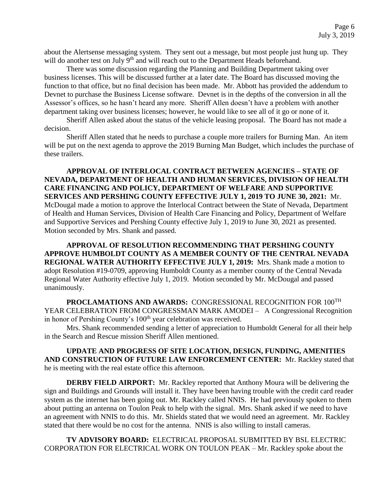about the Alertsense messaging system. They sent out a message, but most people just hung up. They will do another test on July 9<sup>th</sup> and will reach out to the Department Heads beforehand.

 There was some discussion regarding the Planning and Building Department taking over business licenses. This will be discussed further at a later date. The Board has discussed moving the function to that office, but no final decision has been made. Mr. Abbott has provided the addendum to Devnet to purchase the Business License software. Devnet is in the depths of the conversion in all the Assessor's offices, so he hasn't heard any more. Sheriff Allen doesn't have a problem with another department taking over business licenses; however, he would like to see all of it go or none of it.

Sheriff Allen asked about the status of the vehicle leasing proposal. The Board has not made a decision.

Sheriff Allen stated that he needs to purchase a couple more trailers for Burning Man. An item will be put on the next agenda to approve the 2019 Burning Man Budget, which includes the purchase of these trailers.

**APPROVAL OF INTERLOCAL CONTRACT BETWEEN AGENCIES – STATE OF NEVADA, DEPARTMENT OF HEALTH AND HUMAN SERVICES, DIVISION OF HEALTH CARE FINANCING AND POLICY, DEPARTMENT OF WELFARE AND SUPPORTIVE SERVICES AND PERSHING COUNTY EFFECTIVE JULY 1, 2019 TO JUNE 30, 2021:** Mr. McDougal made a motion to approve the Interlocal Contract between the State of Nevada, Department of Health and Human Services, Division of Health Care Financing and Policy, Department of Welfare and Supportive Services and Pershing County effective July 1, 2019 to June 30, 2021 as presented. Motion seconded by Mrs. Shank and passed.

**APPROVAL OF RESOLUTION RECOMMENDING THAT PERSHING COUNTY APPROVE HUMBOLDT COUNTY AS A MEMBER COUNTY OF THE CENTRAL NEVADA REGIONAL WATER AUTHORITY EFFECTIVE JULY 1, 2019:** Mrs. Shank made a motion to adopt Resolution #19-0709, approving Humboldt County as a member county of the Central Nevada Regional Water Authority effective July 1, 2019. Motion seconded by Mr. McDougal and passed unanimously.

**PROCLAMATIONS AND AWARDS:** CONGRESSIONAL RECOGNITION FOR 100TH YEAR CELEBRATION FROM CONGRESSMAN MARK AMODEI – A Congressional Recognition in honor of Pershing County's 100<sup>th</sup> year celebration was received.

Mrs. Shank recommended sending a letter of appreciation to Humboldt General for all their help in the Search and Rescue mission Sheriff Allen mentioned.

**UPDATE AND PROGRESS OF SITE LOCATION, DESIGN, FUNDING, AMENITIES AND CONSTRUCTION OF FUTURE LAW ENFORCEMENT CENTER:** Mr. Rackley stated that he is meeting with the real estate office this afternoon.

**DERBY FIELD AIRPORT:** Mr. Rackley reported that Anthony Moura will be delivering the sign and Buildings and Grounds will install it. They have been having trouble with the credit card reader system as the internet has been going out. Mr. Rackley called NNIS. He had previously spoken to them about putting an antenna on Toulon Peak to help with the signal. Mrs. Shank asked if we need to have an agreement with NNIS to do this. Mr. Shields stated that we would need an agreement. Mr. Rackley stated that there would be no cost for the antenna. NNIS is also willing to install cameras.

**TV ADVISORY BOARD:** ELECTRICAL PROPOSAL SUBMITTED BY BSL ELECTRIC CORPORATION FOR ELECTRICAL WORK ON TOULON PEAK – Mr. Rackley spoke about the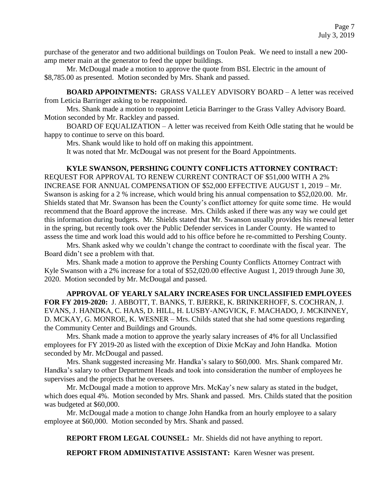purchase of the generator and two additional buildings on Toulon Peak. We need to install a new 200 amp meter main at the generator to feed the upper buildings.

Mr. McDougal made a motion to approve the quote from BSL Electric in the amount of \$8,785.00 as presented. Motion seconded by Mrs. Shank and passed.

**BOARD APPOINTMENTS:** GRASS VALLEY ADVISORY BOARD – A letter was received from Leticia Barringer asking to be reappointed.

Mrs. Shank made a motion to reappoint Leticia Barringer to the Grass Valley Advisory Board. Motion seconded by Mr. Rackley and passed.

BOARD OF EQUALIZATION – A letter was received from Keith Odle stating that he would be happy to continue to serve on this board.

Mrs. Shank would like to hold off on making this appointment.

It was noted that Mr. McDougal was not present for the Board Appointments.

#### **KYLE SWANSON, PERSHING COUNTY CONFLICTS ATTORNEY CONTRACT:**

REQUEST FOR APPROVAL TO RENEW CURRENT CONTRACT OF \$51,000 WITH A 2% INCREASE FOR ANNUAL COMPENSATION OF \$52,000 EFFECTIVE AUGUST 1, 2019 – Mr. Swanson is asking for a 2 % increase, which would bring his annual compensation to \$52,020.00. Mr. Shields stated that Mr. Swanson has been the County's conflict attorney for quite some time. He would recommend that the Board approve the increase. Mrs. Childs asked if there was any way we could get this information during budgets. Mr. Shields stated that Mr. Swanson usually provides his renewal letter in the spring, but recently took over the Public Defender services in Lander County. He wanted to assess the time and work load this would add to his office before he re-committed to Pershing County.

Mrs. Shank asked why we couldn't change the contract to coordinate with the fiscal year. The Board didn't see a problem with that.

Mrs. Shank made a motion to approve the Pershing County Conflicts Attorney Contract with Kyle Swanson with a 2% increase for a total of \$52,020.00 effective August 1, 2019 through June 30, 2020. Motion seconded by Mr. McDougal and passed.

**APPROVAL OF YEARLY SALARY INCREASES FOR UNCLASSIFIED EMPLOYEES FOR FY 2019-2020:** J. ABBOTT, T. BANKS, T. BJERKE, K. BRINKERHOFF, S. COCHRAN, J. EVANS, J. HANDKA, C. HAAS, D. HILL, H. LUSBY-ANGVICK, F. MACHADO, J. MCKINNEY, D. MCKAY, G. MONROE, K. WESNER – Mrs. Childs stated that she had some questions regarding the Community Center and Buildings and Grounds.

Mrs. Shank made a motion to approve the yearly salary increases of 4% for all Unclassified employees for FY 2019-20 as listed with the exception of Dixie McKay and John Handka. Motion seconded by Mr. McDougal and passed.

Mrs. Shank suggested increasing Mr. Handka's salary to \$60,000. Mrs. Shank compared Mr. Handka's salary to other Department Heads and took into consideration the number of employees he supervises and the projects that he oversees.

Mr. McDougal made a motion to approve Mrs. McKay's new salary as stated in the budget, which does equal 4%. Motion seconded by Mrs. Shank and passed. Mrs. Childs stated that the position was budgeted at \$60,000.

Mr. McDougal made a motion to change John Handka from an hourly employee to a salary employee at \$60,000. Motion seconded by Mrs. Shank and passed.

**REPORT FROM LEGAL COUNSEL:** Mr. Shields did not have anything to report.

**REPORT FROM ADMINISTATIVE ASSISTANT:** Karen Wesner was present.